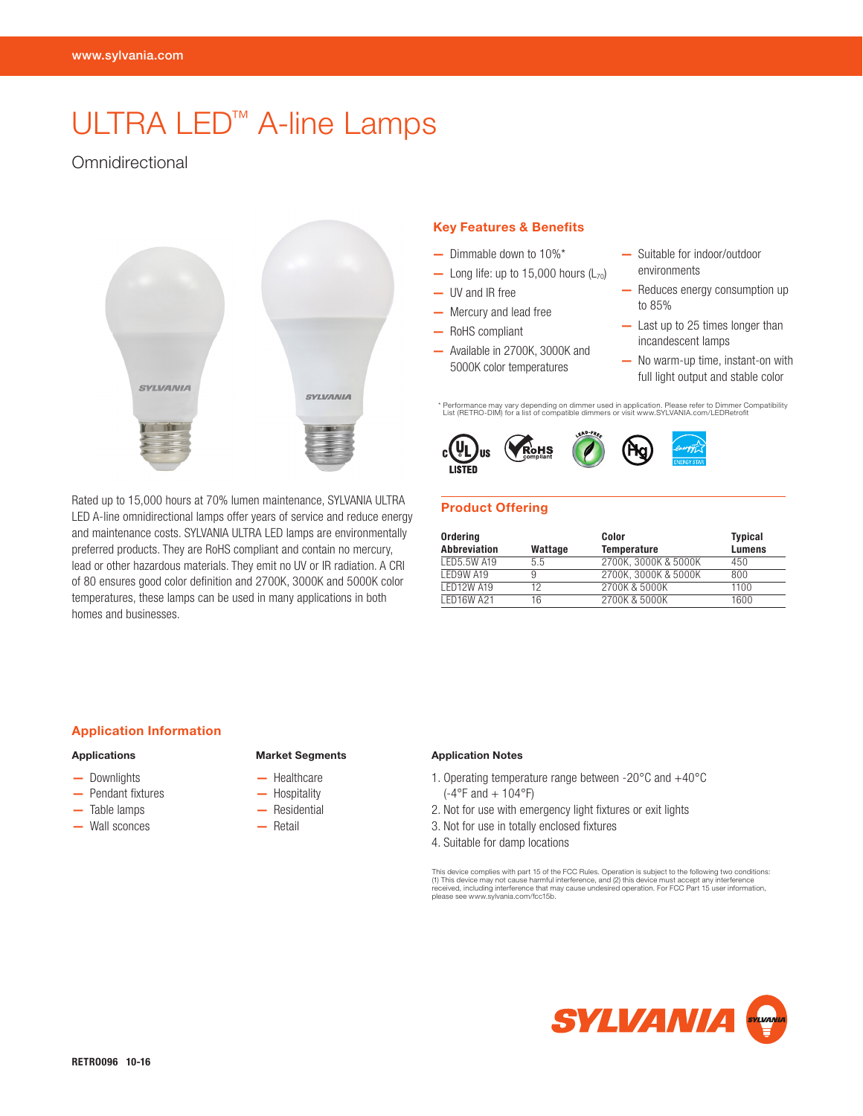# ULTRA LED™ A-line Lamps

# **Omnidirectional**



Rated up to 15,000 hours at 70% lumen maintenance, SYLVANIA ULTRA LED A-line omnidirectional lamps offer years of service and reduce energy and maintenance costs. SYLVANIA ULTRA LED lamps are environmentally preferred products. They are RoHS compliant and contain no mercury, lead or other hazardous materials. They emit no UV or IR radiation. A CRI of 80 ensures good color definition and 2700K, 3000K and 5000K color temperatures, these lamps can be used in many applications in both homes and businesses.

#### Key Features & Benefits

- Dimmable down to 10%\*
- Long life: up to  $15,000$  hours  $(L_{70})$
- UV and IR free
- Mercury and lead free
- RoHS compliant
- Available in 2700K, 3000K and 5000K color temperatures
- Suitable for indoor/outdoor environments
- Reduces energy consumption up to 85%
- Last up to 25 times longer than incandescent lamps
- No warm-up time, instant-on with full light output and stable color

\* Performance may vary depending on dimmer used in application. Please refer to Dimmer Compatibility List (RETRO-DIM) for a list of compatible dimmers or visit www.SYLVANIA.com/LEDRetrofit





## Product Offering

| Ordering            |         | Color                | <b>Typical</b> |  |  |
|---------------------|---------|----------------------|----------------|--|--|
| <b>Abbreviation</b> | Wattage | <b>Temperature</b>   | <b>Lumens</b>  |  |  |
| LED5.5W A19         | 5.5     | 2700K. 3000K & 5000K | 450            |  |  |
| LED9W A19           | 9       | 2700K. 3000K & 5000K | 800            |  |  |
| <b>LED12W A19</b>   | 12      | 2700K & 5000K        | 1100           |  |  |
| <b>LED16W A21</b>   | 16      | 2700K & 5000K        | 1600           |  |  |

#### Application Information

#### Applications

- Downlights
- Pendant fixtures
- Table lamps
- Wall sconces

#### Market Segments

- Healthcare
- Hospitality
- Residential
- Retail
- Application Notes
- 1. Operating temperature range between -20°C and +40°C  $(-4^{\circ}$ F and  $+ 104^{\circ}$ F)
- 2. Not for use with emergency light fixtures or exit lights
- 3. Not for use in totally enclosed fixtures
- 4. Suitable for damp locations

This device complies with part 15 of the FCC Rules. Operation is subject to the following two conditions:<br>(1) This device may not cause harmful interference, and (2) this device must accept any interference<br>received, inclu